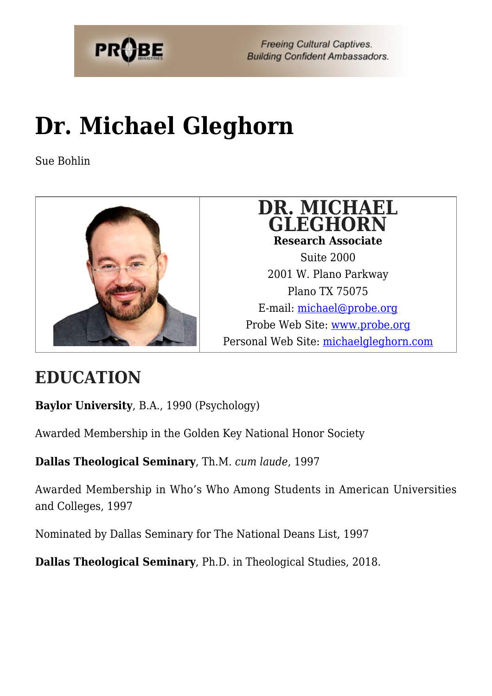

**Freeing Cultural Captives. Building Confident Ambassadors.** 

# **[Dr. Michael Gleghorn](https://probe.org/michael-gleghorn/)**

Sue Bohlin



### **DR. MICHAEL GLEGHORN Research Associate**

Suite 2000 2001 W. Plano Parkway Plano TX 75075 E-mail: [michael@probe.org](mailto:michael@probe.org) Probe Web Site: [www.probe.org](http://www.probe.org) Personal Web Site: [michaelgleghorn.com](http://michaelgleghorn.com)

## **EDUCATION**

**Baylor University**, B.A., 1990 (Psychology)

Awarded Membership in the Golden Key National Honor Society

**Dallas Theological Seminary**, Th.M. *cum laude*, 1997

Awarded Membership in Who's Who Among Students in American Universities and Colleges, 1997

Nominated by Dallas Seminary for The National Deans List, 1997

**Dallas Theological Seminary**, Ph.D. in Theological Studies, 2018.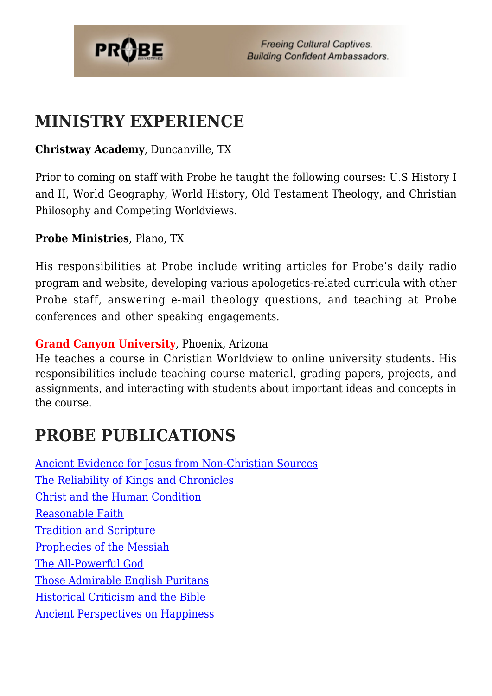

## **MINISTRY EXPERIENCE**

#### **Christway Academy**, Duncanville, TX

Prior to coming on staff with Probe he taught the following courses: U.S History I and II, World Geography, World History, Old Testament Theology, and Christian Philosophy and Competing Worldviews.

#### **Probe Ministries**, Plano, TX

His responsibilities at Probe include writing articles for Probe's daily radio program and website, developing various apologetics-related curricula with other Probe staff, answering e-mail theology questions, and teaching at Probe conferences and other speaking engagements.

#### **Grand Canyon University**, Phoenix, Arizona

He teaches a course in Christian Worldview to online university students. His responsibilities include teaching course material, grading papers, projects, and assignments, and interacting with students about important ideas and concepts in the course.

## **PROBE PUBLICATIONS**

[Ancient Evidence for Jesus from Non-Christian Sources](https://www.probe.org/ancient-evidence-for-jesus-from-non-christian-sources-2/) [The Reliability of Kings and Chronicles](https://www.probe.org/the-reliability-of-kings-and-chronicles/) [Christ and the Human Condition](https://www.probe.org/christ-and-the-human-condition/) [Reasonable Faith](https://www.probe.org/reasonable-faith-2/) [Tradition and Scripture](https://www.probe.org/tradition-and-scripture-2/) [Prophecies of the Messiah](https://www.probe.org/prophecies-of-the-messiah/) [The All-Powerful God](https://www.probe.org/the-all-powerful-god/) [Those Admirable English Puritans](https://www.probe.org/those-admirable-english-puritans/) [Historical Criticism and the Bible](https://www.probe.org/historical-criticism-and-the-bible/) [Ancient Perspectives on Happiness](https://www.probe.org/ancient-perspectives-on-happiness/)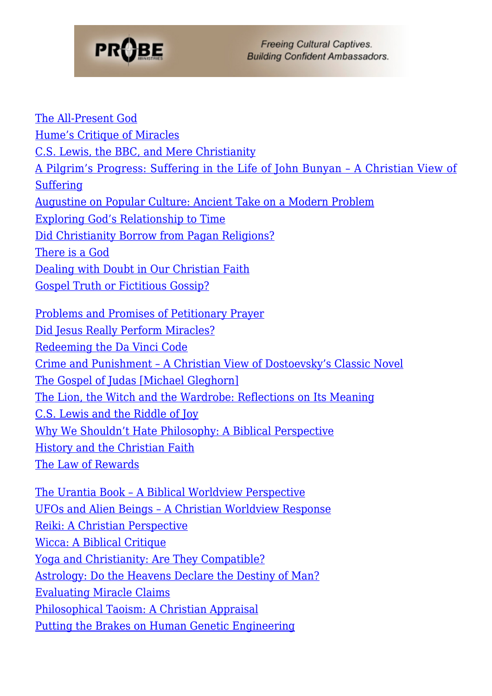

**Freeing Cultural Captives. Building Confident Ambassadors.** 

[The All-Present God](https://www.probe.org/the-all-present-god/) [Hume's Critique of Miracles](https://www.probe.org/humes-critique-of-miracles/) [C.S. Lewis, the BBC, and Mere Christianity](https://www.probe.org/c-s-lewis-the-bbc-and-mere-christianity/) [A Pilgrim's Progress: Suffering in the Life of John Bunyan – A Christian View of](https://www.probe.org/a-pilgrims-progress-suffering-in-the-life-of-john-bunyan/) [Suffering](https://www.probe.org/a-pilgrims-progress-suffering-in-the-life-of-john-bunyan/) [Augustine on Popular Culture: Ancient Take on a Modern Problem](https://www.probe.org/augustine-on-popular-culture-ancient-take-on-a-modern-problem/) [Exploring God's Relationship to Time](https://www.probe.org/exploring-gods-relationship-to-time/) [Did Christianity Borrow from Pagan Religions?](https://www.probe.org/did-christianity-borrow-from-pagan-religions/) [There is a God](https://www.probe.org/there-is-a-god/) [Dealing with Doubt in Our Christian Faith](https://www.probe.org/dealing-with-doubt/) [Gospel Truth or Fictitious Gossip?](https://www.probe.org/gospel-truth-or-fictitious-gossip/) [Problems and Promises of Petitionary Prayer](https://www.probe.org/problems-and-promises-of-petitionary-prayer/) [Did Jesus Really Perform Miracles?](https://www.probe.org/did-jesus-really-perform-miracles/) [Redeeming the Da Vinci Code](https://www.probe.org/redeeming-the-da-vinci-code/) [Crime and Punishment – A Christian View of Dostoevsky's Classic Novel](https://www.probe.org/crime-and-punishment/) [The Gospel of Judas \[Michael Gleghorn\]](https://www.probe.org/the-gospel-of-judas-michael-gleghorn/) [The Lion, the Witch and the Wardrobe: Reflections on Its Meaning](https://www.probe.org/the-lion-the-witch-and-the-wardrobe-reflections-on-its-meaning/) [C.S. Lewis and the Riddle of Joy](https://www.probe.org/c-s-lewis-and-the-riddle-of-joy/) [Why We Shouldn't Hate Philosophy: A Biblical Perspective](https://www.probe.org/why-we-shouldnt-hate-philosophy/) [History and the Christian Faith](https://www.probe.org/history-and-the-christian-faith/) [The Law of Rewards](https://www.probe.org/the-law-of-rewards/) [The Urantia Book – A Biblical Worldview Perspective](https://www.probe.org/the-urantia-book/) [UFOs and Alien Beings – A Christian Worldview Response](https://www.probe.org/ufos-and-alien-beings/) [Reiki: A Christian Perspective](https://www.probe.org/reiki/) [Wicca: A Biblical Critique](https://www.probe.org/wicca-a-biblical-critique/) [Yoga and Christianity: Are They Compatible?](https://www.probe.org/yoga-and-christianity-are-they-compatible/) [Astrology: Do the Heavens Declare the Destiny of Man?](https://www.probe.org/astrology-do-the-heavens-declare-the-destiny-of-man/) [Evaluating Miracle Claims](https://www.probe.org/evaluating-miracle-claims/)

[Philosophical Taoism: A Christian Appraisal](https://www.probe.org/philosophical-taoism-a-christian-appraisal/)

[Putting the Brakes on Human Genetic Engineering](https://www.probe.org/putting-the-brakes-on-human-genetic-engineering/)